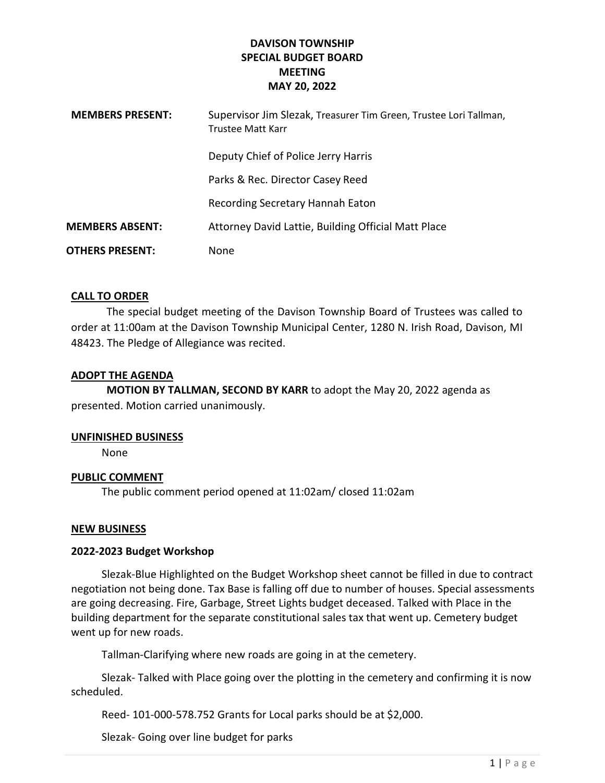## DAVISON TOWNSHIP SPECIAL BUDGET BOARD MEETING MAY 20, 2022

| <b>MEMBERS PRESENT:</b> | Supervisor Jim Slezak, Treasurer Tim Green, Trustee Lori Tallman,<br>Trustee Matt Karr |
|-------------------------|----------------------------------------------------------------------------------------|
|                         | Deputy Chief of Police Jerry Harris                                                    |
|                         | Parks & Rec. Director Casey Reed                                                       |
|                         | Recording Secretary Hannah Eaton                                                       |
| <b>MEMBERS ABSENT:</b>  | Attorney David Lattie, Building Official Matt Place                                    |
| <b>OTHERS PRESENT:</b>  | <b>None</b>                                                                            |

## CALL TO ORDER

The special budget meeting of the Davison Township Board of Trustees was called to order at 11:00am at the Davison Township Municipal Center, 1280 N. Irish Road, Davison, MI 48423. The Pledge of Allegiance was recited.

#### ADOPT THE AGENDA

MOTION BY TALLMAN, SECOND BY KARR to adopt the May 20, 2022 agenda as presented. Motion carried unanimously.

#### UNFINISHED BUSINESS

None

## PUBLIC COMMENT

The public comment period opened at 11:02am/ closed 11:02am

#### NEW BUSINESS

## 2022-2023 Budget Workshop

Slezak-Blue Highlighted on the Budget Workshop sheet cannot be filled in due to contract negotiation not being done. Tax Base is falling off due to number of houses. Special assessments are going decreasing. Fire, Garbage, Street Lights budget deceased. Talked with Place in the building department for the separate constitutional sales tax that went up. Cemetery budget went up for new roads.

Tallman-Clarifying where new roads are going in at the cemetery.

 Slezak- Talked with Place going over the plotting in the cemetery and confirming it is now scheduled.

Reed- 101-000-578.752 Grants for Local parks should be at \$2,000.

Slezak- Going over line budget for parks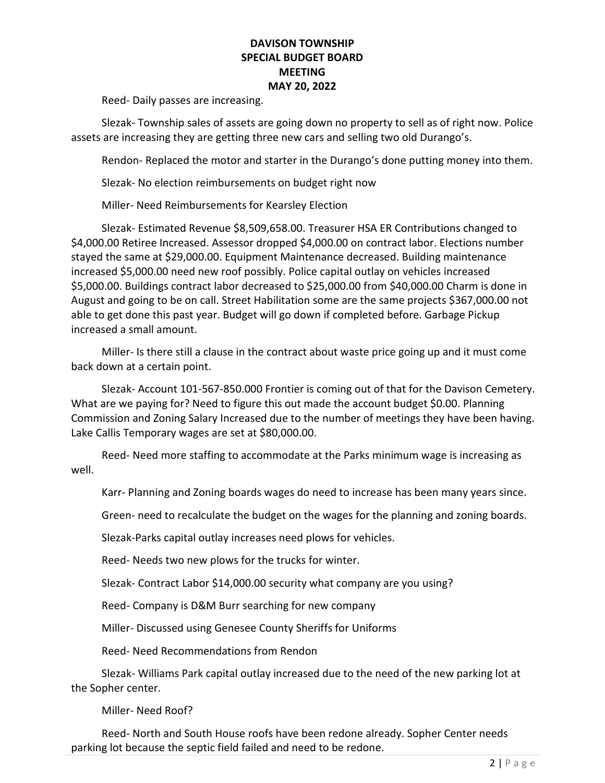## DAVISON TOWNSHIP SPECIAL BUDGET BOARD MEETING MAY 20, 2022

Reed- Daily passes are increasing.

 Slezak- Township sales of assets are going down no property to sell as of right now. Police assets are increasing they are getting three new cars and selling two old Durango's.

Rendon- Replaced the motor and starter in the Durango's done putting money into them.

Slezak- No election reimbursements on budget right now

Miller- Need Reimbursements for Kearsley Election

 Slezak- Estimated Revenue \$8,509,658.00. Treasurer HSA ER Contributions changed to \$4,000.00 Retiree Increased. Assessor dropped \$4,000.00 on contract labor. Elections number stayed the same at \$29,000.00. Equipment Maintenance decreased. Building maintenance increased \$5,000.00 need new roof possibly. Police capital outlay on vehicles increased \$5,000.00. Buildings contract labor decreased to \$25,000.00 from \$40,000.00 Charm is done in August and going to be on call. Street Habilitation some are the same projects \$367,000.00 not able to get done this past year. Budget will go down if completed before. Garbage Pickup increased a small amount.

 Miller- Is there still a clause in the contract about waste price going up and it must come back down at a certain point.

 Slezak- Account 101-567-850.000 Frontier is coming out of that for the Davison Cemetery. What are we paying for? Need to figure this out made the account budget \$0.00. Planning Commission and Zoning Salary Increased due to the number of meetings they have been having. Lake Callis Temporary wages are set at \$80,000.00.

 Reed- Need more staffing to accommodate at the Parks minimum wage is increasing as well.

Karr- Planning and Zoning boards wages do need to increase has been many years since.

Green- need to recalculate the budget on the wages for the planning and zoning boards.

Slezak-Parks capital outlay increases need plows for vehicles.

Reed- Needs two new plows for the trucks for winter.

Slezak- Contract Labor \$14,000.00 security what company are you using?

Reed- Company is D&M Burr searching for new company

Miller- Discussed using Genesee County Sheriffs for Uniforms

Reed- Need Recommendations from Rendon

 Slezak- Williams Park capital outlay increased due to the need of the new parking lot at the Sopher center.

Miller- Need Roof?

 Reed- North and South House roofs have been redone already. Sopher Center needs parking lot because the septic field failed and need to be redone.